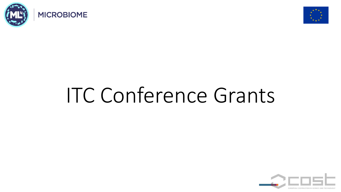



# ITC Conference Grants

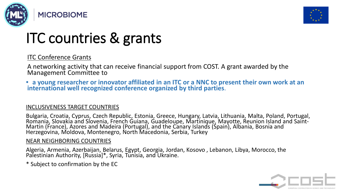



## ITC countries & grants

#### ITC Conference Grants

A networking activity that can receive financial support from COST. A grant awarded by the Management Committee to

• **a young researcher or innovator affiliated in an ITC or a NNC to present their own work at an international well recognized conference organized by third parties**.

#### INCLUSIVENESS TARGET COUNTRIES

Bulgaria, Croatia, Cyprus, Czech Republic, Estonia, Greece, Hungary, Latvia, Lithuania, Malta, Poland, Portugal, Romania, Slovakia and Slovenia, French Guiana, Guadeloupe, Martinique, Mayotte, Reunion Island and Saint- Martin (France), Azores and Madeira (Portugal), and the Canary Islands (Spain), Albania, Bosnia and Herzegovina, Moldova, Montenegro, North Macedonia, Serbia, Turkey

#### NEAR NEIGHBORING COUNTRIES

Algeria, Armenia, Azerbaijan, Belarus, Egypt, Georgia, Jordan, Kosovo , Lebanon, Libya, Morocco, the Palestinian Authority, [Russia]\*, Syria, Tunisia, and Ukraine.

\* Subject to confirmation by the EC

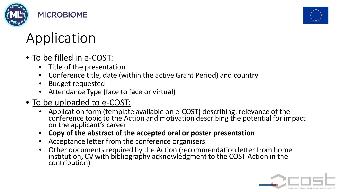



## Application

### • To be filled in e-COST:

- Title of the presentation
- Conference title, date (within the active Grant Period) and country
- Budget requested
- Attendance Type (face to face or virtual)

#### • To be uploaded to e-COST:

- Application form (template available on e-COST) describing: relevance of the conference topic to the Action and motivation describing the potential for impact<br>on the applicant's career
- **Copy of the abstract of the accepted oral or poster presentation**
- Acceptance letter from the conference organisers
- Other documents required by the Action (recommendation letter from home institution, CV with bibliography acknowledgment to the COST Action in the contribution)

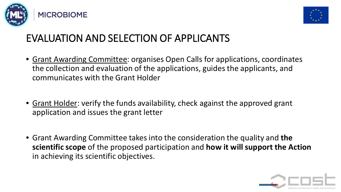



### EVALUATION AND SELECTION OF APPLICANTS

- Grant Awarding Committee: organises Open Calls for applications, coordinates the collection and evaluation of the applications, guides the applicants, and communicates with the Grant Holder
- Grant Holder: verify the funds availability, check against the approved grant application and issues the grant letter
- Grant Awarding Committee takes into the consideration the quality and **the scientific scope** of the proposed participation and **how it will support the Action**  in achieving its scientific objectives.

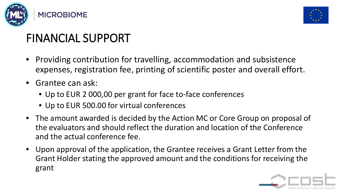



## FINANCIAL SUPPORT

- Providing contribution for travelling, accommodation and subsistence expenses, registration fee, printing of scientific poster and overall effort.
- Grantee can ask:
	- Up to EUR 2 000,00 per grant for face to-face conferences
	- Up to EUR 500.00 for virtual conferences
- The amount awarded is decided by the Action MC or Core Group on proposal of the evaluators and should reflect the duration and location of the Conference and the actual conference fee.
- Upon approval of the application, the Grantee receives a Grant Letter from the Grant Holder stating the approved amount and the conditions for receiving the grant